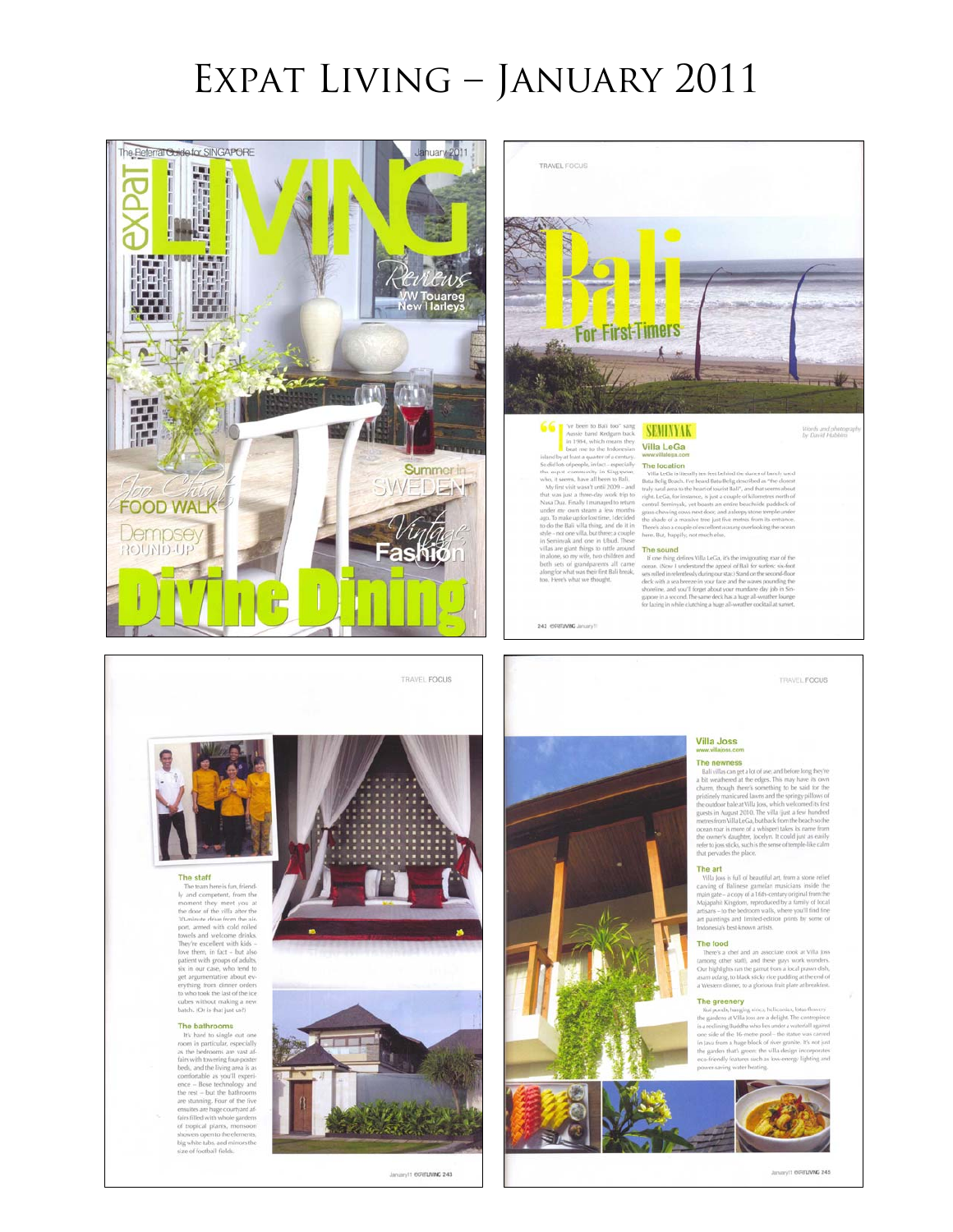# Expat Living – January 2011



January 11 CORELANDE 245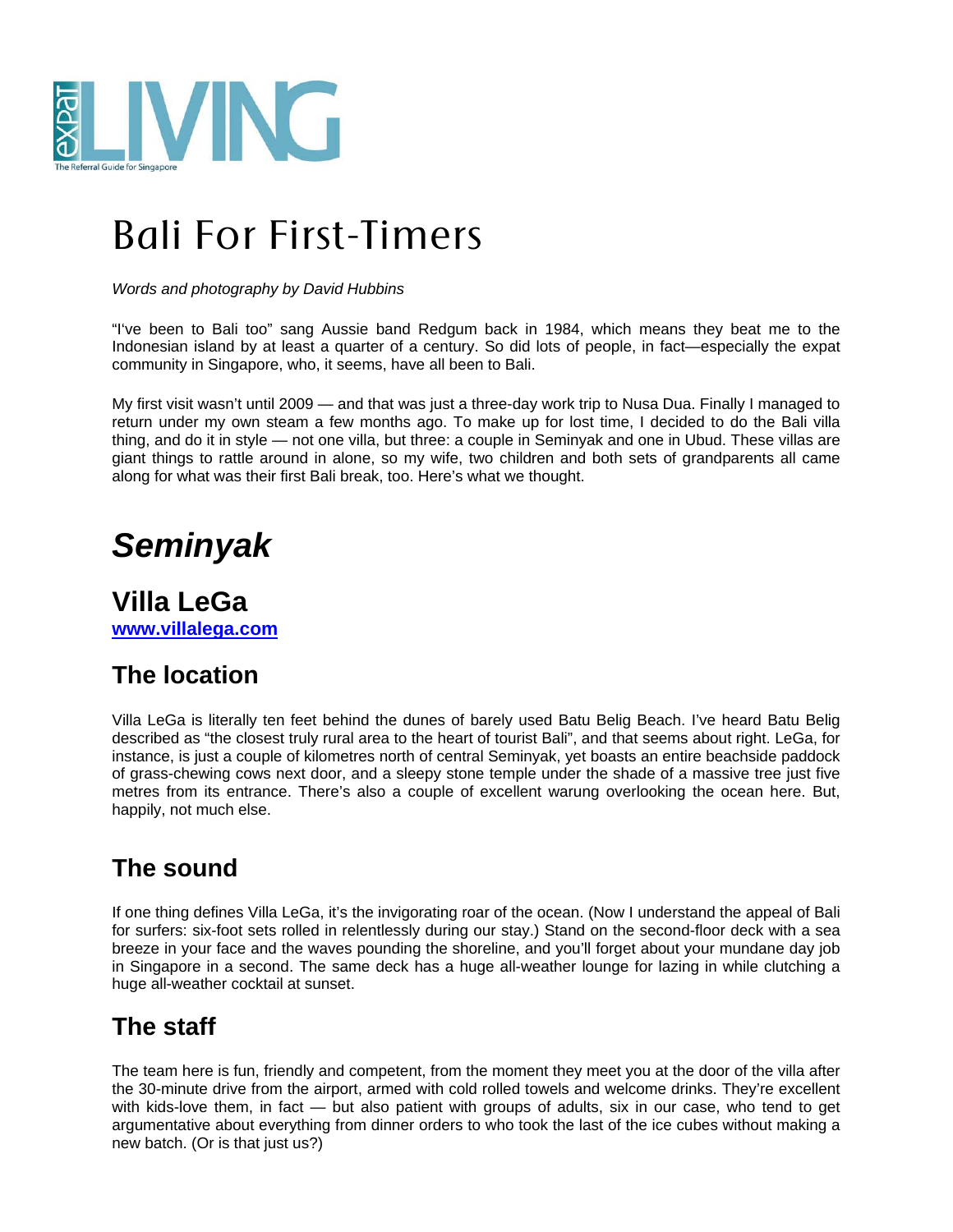

# Bali For First-Timers

*Words and photography by David Hubbins* 

"I've been to Bali too" sang Aussie band Redgum back in 1984, which means they beat me to the Indonesian island by at least a quarter of a century. So did lots of people, in fact—especially the expat community in Singapore, who, it seems, have all been to Bali.

My first visit wasn't until 2009 — and that was just a three-day work trip to Nusa Dua. Finally I managed to return under my own steam a few months ago. To make up for lost time, I decided to do the Bali villa thing, and do it in style — not one villa, but three: a couple in Seminyak and one in Ubud. These villas are giant things to rattle around in alone, so my wife, two children and both sets of grandparents all came along for what was their first Bali break, too. Here's what we thought.

## *Seminyak*

**Villa LeGa www.villalega.com**

## **The location**

Villa LeGa is literally ten feet behind the dunes of barely used Batu Belig Beach. I've heard Batu Belig described as "the closest truly rural area to the heart of tourist Bali", and that seems about right. LeGa, for instance, is just a couple of kilometres north of central Seminyak, yet boasts an entire beachside paddock of grass-chewing cows next door, and a sleepy stone temple under the shade of a massive tree just five metres from its entrance. There's also a couple of excellent warung overlooking the ocean here. But, happily, not much else.

## **The sound**

If one thing defines Villa LeGa, it's the invigorating roar of the ocean. (Now I understand the appeal of Bali for surfers: six-foot sets rolled in relentlessly during our stay.) Stand on the second-floor deck with a sea breeze in your face and the waves pounding the shoreline, and you'll forget about your mundane day job in Singapore in a second. The same deck has a huge all-weather lounge for lazing in while clutching a huge all-weather cocktail at sunset.

### **The staff**

The team here is fun, friendly and competent, from the moment they meet you at the door of the villa after the 30-minute drive from the airport, armed with cold rolled towels and welcome drinks. They're excellent with kids-love them, in fact — but also patient with groups of adults, six in our case, who tend to get argumentative about everything from dinner orders to who took the last of the ice cubes without making a new batch. (Or is that just us?)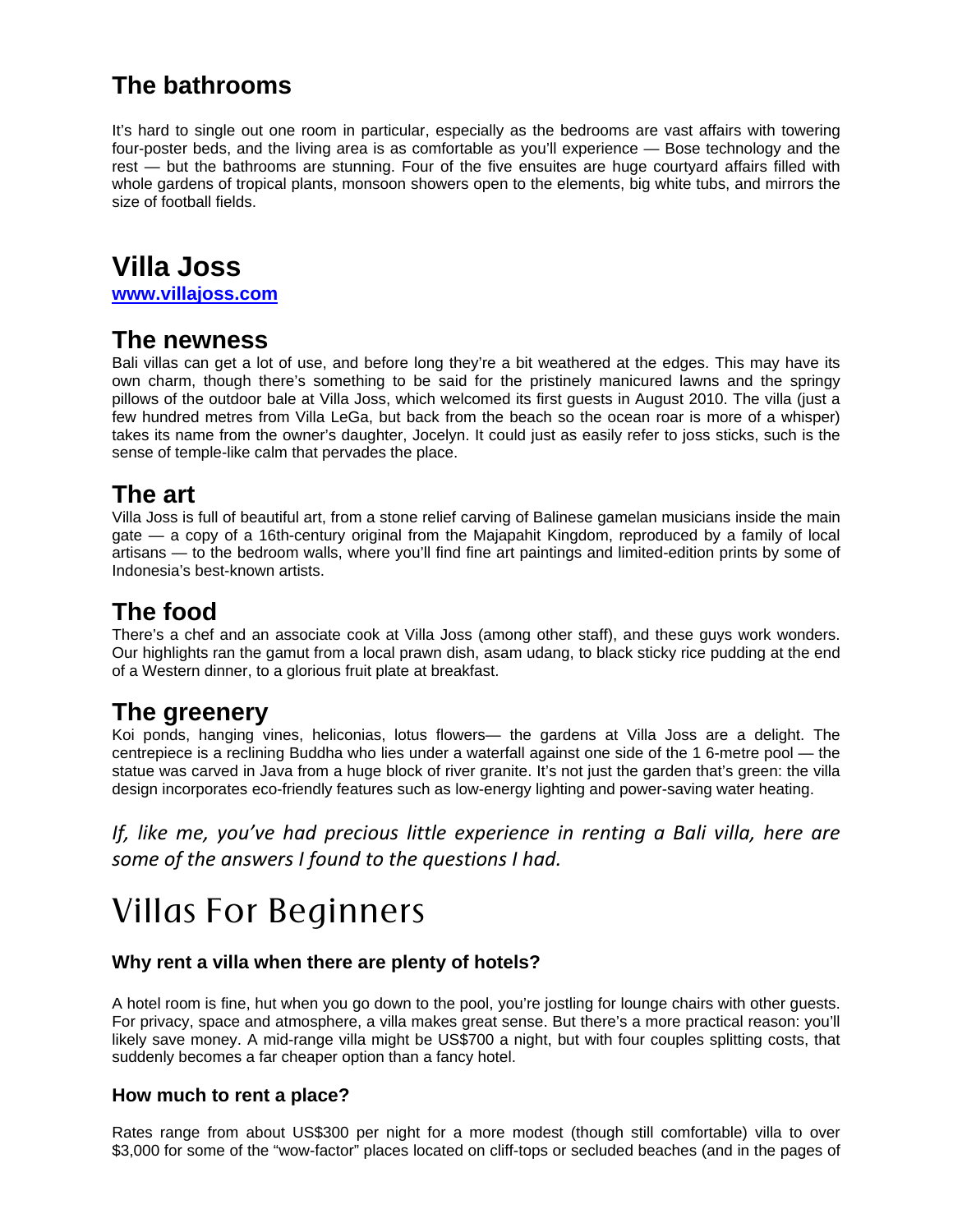## **The bathrooms**

It's hard to single out one room in particular, especially as the bedrooms are vast affairs with towering four-poster beds, and the living area is as comfortable as you'll experience — Bose technology and the rest — but the bathrooms are stunning. Four of the five ensuites are huge courtyard affairs filled with whole gardens of tropical plants, monsoon showers open to the elements, big white tubs, and mirrors the size of football fields.

## **Villa Joss**

**www.villajoss.com**

#### **The newness**

Bali villas can get a lot of use, and before long they're a bit weathered at the edges. This may have its own charm, though there's something to be said for the pristinely manicured lawns and the springy pillows of the outdoor bale at Villa Joss, which welcomed its first guests in August 2010. The villa (just a few hundred metres from Villa LeGa, but back from the beach so the ocean roar is more of a whisper) takes its name from the owner's daughter, Jocelyn. It could just as easily refer to joss sticks, such is the sense of temple-like calm that pervades the place.

### **The art**

Villa Joss is full of beautiful art, from a stone relief carving of Balinese gamelan musicians inside the main gate — a copy of a 16th-century original from the Majapahit Kingdom, reproduced by a family of local artisans — to the bedroom walls, where you'll find fine art paintings and limited-edition prints by some of Indonesia's best-known artists.

## **The food**

There's a chef and an associate cook at Villa Joss (among other staff), and these guys work wonders. Our highlights ran the gamut from a local prawn dish, asam udang, to black sticky rice pudding at the end of a Western dinner, to a glorious fruit plate at breakfast.

### **The greenery**

Koi ponds, hanging vines, heliconias, lotus flowers— the gardens at Villa Joss are a delight. The centrepiece is a reclining Buddha who lies under a waterfall against one side of the 1 6-metre pool — the statue was carved in Java from a huge block of river granite. It's not just the garden that's green: the villa design incorporates eco-friendly features such as low-energy lighting and power-saving water heating.

*If, like me, you've had precious little experience in renting a Bali villa, here are some of the answers I found to the questions I had.*

## Villas For Beginners

#### **Why rent a villa when there are plenty of hotels?**

A hotel room is fine, hut when you go down to the pool, you're jostling for lounge chairs with other guests. For privacy, space and atmosphere, a villa makes great sense. But there's a more practical reason: you'll likely save money. A mid-range villa might be US\$700 a night, but with four couples splitting costs, that suddenly becomes a far cheaper option than a fancy hotel.

#### **How much to rent a place?**

Rates range from about US\$300 per night for a more modest (though still comfortable) villa to over \$3,000 for some of the "wow-factor" places located on cliff-tops or secluded beaches (and in the pages of